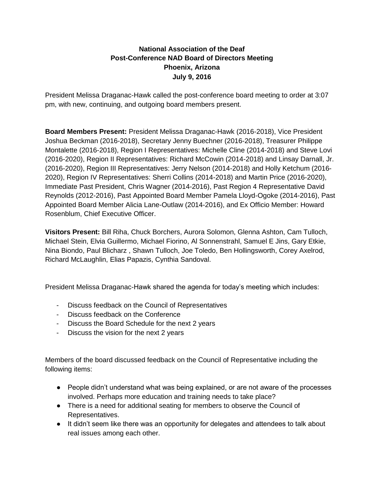## **National Association of the Deaf Post-Conference NAD Board of Directors Meeting Phoenix, Arizona July 9, 2016**

President Melissa Draganac-Hawk called the post-conference board meeting to order at 3:07 pm, with new, continuing, and outgoing board members present.

**Board Members Present:** President Melissa Draganac-Hawk (2016-2018), Vice President Joshua Beckman (2016-2018), Secretary Jenny Buechner (2016-2018), Treasurer Philippe Montalette (2016-2018), Region I Representatives: Michelle Cline (2014-2018) and Steve Lovi (2016-2020), Region II Representatives: Richard McCowin (2014-2018) and Linsay Darnall, Jr. (2016-2020), Region III Representatives: Jerry Nelson (2014-2018) and Holly Ketchum (2016- 2020), Region IV Representatives: Sherri Collins (2014-2018) and Martin Price (2016-2020), Immediate Past President, Chris Wagner (2014-2016), Past Region 4 Representative David Reynolds (2012-2016), Past Appointed Board Member Pamela Lloyd-Ogoke (2014-2016), Past Appointed Board Member Alicia Lane-Outlaw (2014-2016), and Ex Officio Member: Howard Rosenblum, Chief Executive Officer.

**Visitors Present:** Bill Riha, Chuck Borchers, Aurora Solomon, Glenna Ashton, Cam Tulloch, Michael Stein, Elvia Guillermo, Michael Fiorino, Al Sonnenstrahl, Samuel E Jins, Gary Etkie, Nina Biondo, Paul Blicharz , Shawn Tulloch, Joe Toledo, Ben Hollingsworth, Corey Axelrod, Richard McLaughlin, Elias Papazis, Cynthia Sandoval.

President Melissa Draganac-Hawk shared the agenda for today's meeting which includes:

- Discuss feedback on the Council of Representatives
- Discuss feedback on the Conference
- Discuss the Board Schedule for the next 2 years
- Discuss the vision for the next 2 years

Members of the board discussed feedback on the Council of Representative including the following items:

- People didn't understand what was being explained, or are not aware of the processes involved. Perhaps more education and training needs to take place?
- There is a need for additional seating for members to observe the Council of Representatives.
- It didn't seem like there was an opportunity for delegates and attendees to talk about real issues among each other.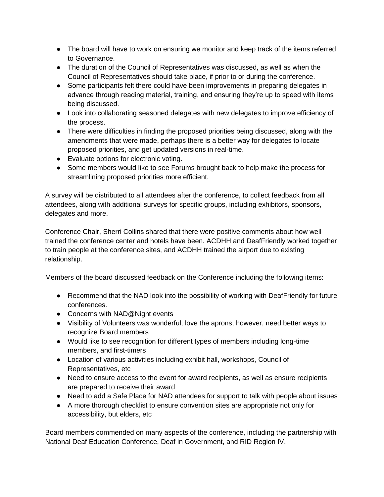- The board will have to work on ensuring we monitor and keep track of the items referred to Governance.
- The duration of the Council of Representatives was discussed, as well as when the Council of Representatives should take place, if prior to or during the conference.
- Some participants felt there could have been improvements in preparing delegates in advance through reading material, training, and ensuring they're up to speed with items being discussed.
- Look into collaborating seasoned delegates with new delegates to improve efficiency of the process.
- There were difficulties in finding the proposed priorities being discussed, along with the amendments that were made, perhaps there is a better way for delegates to locate proposed priorities, and get updated versions in real-time.
- Evaluate options for electronic voting.
- Some members would like to see Forums brought back to help make the process for streamlining proposed priorities more efficient.

A survey will be distributed to all attendees after the conference, to collect feedback from all attendees, along with additional surveys for specific groups, including exhibitors, sponsors, delegates and more.

Conference Chair, Sherri Collins shared that there were positive comments about how well trained the conference center and hotels have been. ACDHH and DeafFriendly worked together to train people at the conference sites, and ACDHH trained the airport due to existing relationship.

Members of the board discussed feedback on the Conference including the following items:

- Recommend that the NAD look into the possibility of working with DeafFriendly for future conferences.
- Concerns with NAD@Night events
- Visibility of Volunteers was wonderful, love the aprons, however, need better ways to recognize Board members
- Would like to see recognition for different types of members including long-time members, and first-timers
- Location of various activities including exhibit hall, workshops, Council of Representatives, etc
- Need to ensure access to the event for award recipients, as well as ensure recipients are prepared to receive their award
- Need to add a Safe Place for NAD attendees for support to talk with people about issues
- A more thorough checklist to ensure convention sites are appropriate not only for accessibility, but elders, etc

Board members commended on many aspects of the conference, including the partnership with National Deaf Education Conference, Deaf in Government, and RID Region IV.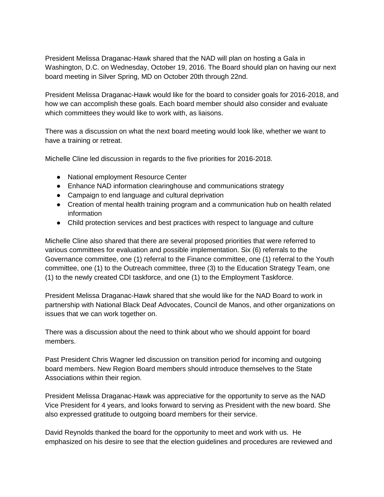President Melissa Draganac-Hawk shared that the NAD will plan on hosting a Gala in Washington, D.C. on Wednesday, October 19, 2016. The Board should plan on having our next board meeting in Silver Spring, MD on October 20th through 22nd.

President Melissa Draganac-Hawk would like for the board to consider goals for 2016-2018, and how we can accomplish these goals. Each board member should also consider and evaluate which committees they would like to work with, as liaisons.

There was a discussion on what the next board meeting would look like, whether we want to have a training or retreat.

Michelle Cline led discussion in regards to the five priorities for 2016-2018.

- National employment Resource Center
- Enhance NAD information clearinghouse and communications strategy
- Campaign to end language and cultural deprivation
- Creation of mental health training program and a communication hub on health related information
- Child protection services and best practices with respect to language and culture

Michelle Cline also shared that there are several proposed priorities that were referred to various committees for evaluation and possible implementation. Six (6) referrals to the Governance committee, one (1) referral to the Finance committee, one (1) referral to the Youth committee, one (1) to the Outreach committee, three (3) to the Education Strategy Team, one (1) to the newly created CDI taskforce, and one (1) to the Employment Taskforce.

President Melissa Draganac-Hawk shared that she would like for the NAD Board to work in partnership with National Black Deaf Advocates, Council de Manos, and other organizations on issues that we can work together on.

There was a discussion about the need to think about who we should appoint for board members.

Past President Chris Wagner led discussion on transition period for incoming and outgoing board members. New Region Board members should introduce themselves to the State Associations within their region.

President Melissa Draganac-Hawk was appreciative for the opportunity to serve as the NAD Vice President for 4 years, and looks forward to serving as President with the new board. She also expressed gratitude to outgoing board members for their service.

David Reynolds thanked the board for the opportunity to meet and work with us. He emphasized on his desire to see that the election guidelines and procedures are reviewed and